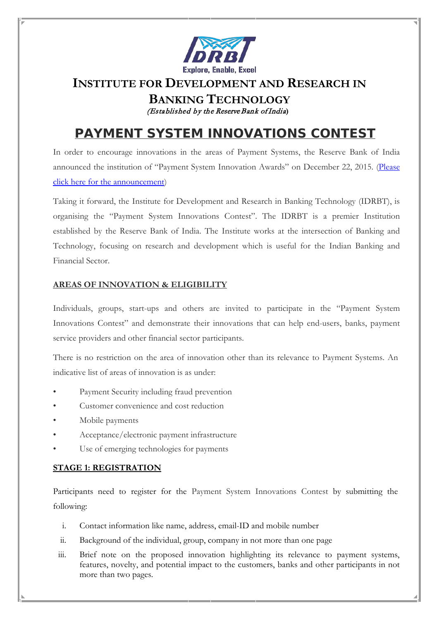

# **INSTITUTE FOR DEVELOPMENT AND RESEARCH IN BANKING TECHNOLOGY** (Established by the Reserve Bank of India**)**

# **PAYMENT SYSTEM INNOVATIONS CONTEST**

In order to encourage innovations in the areas of Payment Systems, the Reserve Bank of India announced the institution of "Payment System Innovation Awards" on December 22, 2015. [\(Pleas](https://rbi.org.in/Scripts/BS_PressReleaseDisplay.aspx?prid=35786)e click here for the [announcement\)](https://rbi.org.in/Scripts/BS_PressReleaseDisplay.aspx?prid=35786)

Taking it forward, the Institute for Development and Research in Banking Technology (IDRBT), is organising the "Payment System Innovations Contest". The IDRBT is a premier Institution established by the Reserve Bank of India. The Institute works at the intersection of Banking and Technology, focusing on research and development which is useful for the Indian Banking and Financial Sector.

#### **AREAS OF INNOVATION & ELIGIBILITY**

Individuals, groups, start-ups and others are invited to participate in the "Payment System Innovations Contest" and demonstrate their innovations that can help end-users, banks, payment service providers and other financial sector participants.

There is no restriction on the area of innovation other than its relevance to Payment Systems. An indicative list of areas of innovation is as under:

- Payment Security including fraud prevention
- Customer convenience and cost reduction
- Mobile payments
- Acceptance/electronic payment infrastructure
- Use of emerging technologies for payments

## **STAGE 1: REGISTRATION**

Participants need to register for the Payment System Innovations Contest by submitting the following:

- i. Contact information like name, address, email-ID and mobile number
- ii. Background of the individual, group, company in not more than one page
- iii. Brief note on the proposed innovation highlighting its relevance to payment systems, features, novelty, and potential impact to the customers, banks and other participants in not more than two pages.